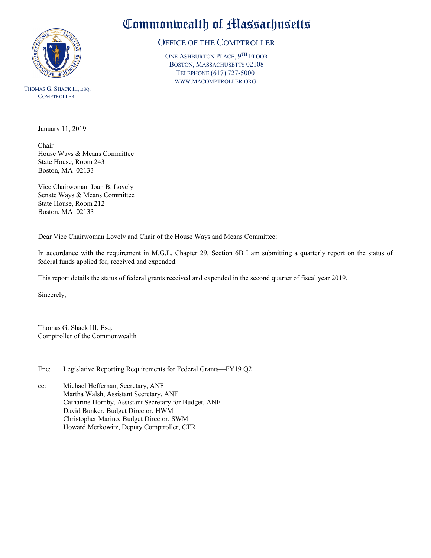

THOMAS G. SHACK III, ESQ. **COMPTROLLER** 

Commonwealth of Massachusetts

## OFFICE OF THE COMPTROLLER

ONE ASHBURTON PLACE, 9TH FLOOR BOSTON, MASSACHUSETTS 02108 TELEPHONE (617) 727-5000 WWW.MACOMPTROLLER.ORG

January 11, 2019

Chair House Ways & Means Committee State House, Room 243 Boston, MA 02133

Vice Chairwoman Joan B. Lovely Senate Ways & Means Committee State House, Room 212 Boston, MA 02133

Dear Vice Chairwoman Lovely and Chair of the House Ways and Means Committee:

In accordance with the requirement in M.G.L. Chapter 29, Section 6B I am submitting a quarterly report on the status of federal funds applied for, received and expended.

This report details the status of federal grants received and expended in the second quarter of fiscal year 2019.

Sincerely,

Thomas G. Shack III, Esq. Comptroller of the Commonwealth

Enc: Legislative Reporting Requirements for Federal Grants—FY19 Q2

cc: Michael Heffernan, Secretary, ANF Martha Walsh, Assistant Secretary, ANF Catharine Hornby, Assistant Secretary for Budget, ANF David Bunker, Budget Director, HWM Christopher Marino, Budget Director, SWM Howard Merkowitz, Deputy Comptroller, CTR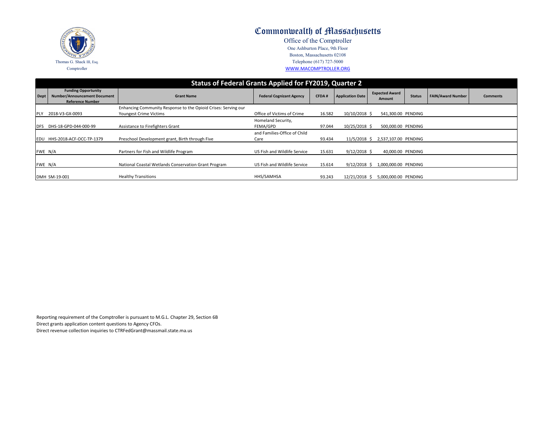|             |                                                                                              | <b>Status of Federal Grants Applied for FY2019, Quarter 2</b>                            |                                      |              |                         |                                 |               |  |  |  |
|-------------|----------------------------------------------------------------------------------------------|------------------------------------------------------------------------------------------|--------------------------------------|--------------|-------------------------|---------------------------------|---------------|--|--|--|
| Dept        | <b>Funding Opportunity</b><br><b>Number/Announcement Document</b><br><b>Reference Number</b> | <b>Grant Name</b>                                                                        | <b>Federal Cognizant Agency</b>      | <b>CFDA#</b> | <b>Application Date</b> | <b>Expected Award</b><br>Amount | <b>Status</b> |  |  |  |
| <b>IPLY</b> | 2018-V3-GX-0093                                                                              | Enhancing Community Response to the Opioid Crises: Serving our<br>Youngest Crime Victims | Office of Victims of Crime           | 16.582       | $10/10/2018$ \$         | 541,300.00 PENDING              |               |  |  |  |
| <b>IDFS</b> | DHS-18-GPD-044-000-99                                                                        | Assistance to Firefighters Grant                                                         | Homeland Security,<br>FEMA/GPD       | 97.044       | $10/25/2018$ \$         | 500,000.00 PENDING              |               |  |  |  |
|             | EDU HHS-2018-ACF-OCC-TP-1379                                                                 | Preschool Development grant, Birth through Five                                          | and Families-Office of Child<br>Care | 93.434       | $11/5/2018$ \$          | 2,537,107.00 PENDING            |               |  |  |  |
| FWE N/A     |                                                                                              | Partners for Fish and Wildlife Program                                                   | US Fish and Wildlife Service         | 15.631       | $9/12/2018$ \$          | 40,000.00 PENDING               |               |  |  |  |
| FWE N/A     |                                                                                              | National Coastal Wetlands Conservation Grant Program                                     | US Fish and Wildlife Service         | 15.614       | $9/12/2018$ \$          | 1,000,000.00 PENDING            |               |  |  |  |
|             | DMH SM-19-001                                                                                | <b>Healthy Transitions</b>                                                               | HHS/SAMHSA                           | 93.243       | 12/21/2018 \$           | 5,000,000.00 PENDING            |               |  |  |  |
|             |                                                                                              |                                                                                          |                                      |              |                         |                                 |               |  |  |  |

Reporting requirement of the Comptroller is pursuant to M.G.L. Chapter 29, Section 6B Direct grants application content questions to Agency CFOs.

Direct revenue collection inquiries to CTRFedGrant@massmail.state.ma.us



| <b>Status</b> | <b>FAIN/Award Number</b> | <b>Comments</b> |
|---------------|--------------------------|-----------------|
|               |                          |                 |
| NDING         |                          |                 |
| <b>NDING</b>  |                          |                 |
| <b>NDING</b>  |                          |                 |
| <b>NDING</b>  |                          |                 |
| NDING         |                          |                 |
| NDING         |                          |                 |

## Commonwealth of Massachusetts

Office of the Comptroller One Ashburton Place, 9th Floor Boston, Massachusetts 02108 Telephone (617) 727-5000 [W](http://www.macomptroller.org/)WW.MACOMPTROLLER.ORG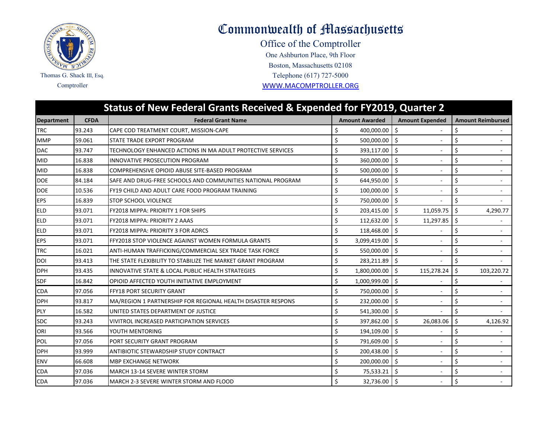

## Commonwealth of Massachusetts

One Ashburton Place, 9th Floor Office of the Comptroller Comptroller [WWW.MACOMPTROL](http://www.macomptroller.org/)LER.ORG Telephone (617) 727-5000 Boston, Massachusetts 02108

|                   |             | <b>Status of New Federal Grants Received &amp; Expended for FY2019, Quarter 2</b> |    |                       |                     |                          |    |                          |
|-------------------|-------------|-----------------------------------------------------------------------------------|----|-----------------------|---------------------|--------------------------|----|--------------------------|
| <b>Department</b> | <b>CFDA</b> | <b>Federal Grant Name</b>                                                         |    | <b>Amount Awarded</b> |                     | <b>Amount Expended</b>   |    | <b>Amount Reimbursed</b> |
| <b>TRC</b>        | 93.243      | CAPE COD TREATMENT COURT, MISSION-CAPE                                            | \$ | 400,000.00            | \$                  |                          | \$ |                          |
| <b>MMP</b>        | 59.061      | STATE TRADE EXPORT PROGRAM                                                        | Ś  | 500,000.00            | $\ddot{\mathsf{S}}$ |                          | \$ |                          |
| <b>DAC</b>        | 93.747      | TECHNOLOGY ENHANCED ACTIONS IN MA ADULT PROTECTIVE SERVICES                       | \$ | 393,117.00            | \$                  |                          | \$ | $\blacksquare$           |
| <b>MID</b>        | 16.838      | INNOVATIVE PROSECUTION PROGRAM                                                    | \$ | 360,000.00 \$         |                     |                          | \$ | ÷.                       |
| <b>MID</b>        | 16.838      | COMPREHENSIVE OPIOID ABUSE SITE-BASED PROGRAM                                     | Ś  | 500,000.00            | $\ddot{\mathsf{S}}$ |                          | \$ |                          |
| <b>DOE</b>        | 84.184      | SAFE AND DRUG-FREE SCHOOLS AND COMMUNITIES NATIONAL PROGRAM                       | \$ | 644,950.00            | \$                  |                          | \$ | ä,                       |
| <b>DOE</b>        | 10.536      | FY19 CHILD AND ADULT CARE FOOD PROGRAM TRAINING                                   | Ś  | 100,000.00            | \$                  |                          | \$ | $\sim$                   |
| <b>EPS</b>        | 16.839      | <b>STOP SCHOOL VIOLENCE</b>                                                       | \$ | 750,000.00 \$         |                     |                          | \$ | $\sim$                   |
| <b>ELD</b>        | 93.071      | FY2018 MIPPA: PRIORITY 1 FOR SHIPS                                                | Ś  | 203,415.00            | \$                  | 11,059.75                | \$ | 4,290.77                 |
| <b>ELD</b>        | 93.071      | <b>FY2018 MIPPA: PRIORITY 2 AAAS</b>                                              | Ś. | 112,632.00            | \$                  | 11,297.85                | Ś. |                          |
| <b>ELD</b>        | 93.071      | <b>FY2018 MIPPA: PRIORITY 3 FOR ADRCS</b>                                         | Ś  | 118,468.00            | \$                  | $\overline{\phantom{a}}$ | \$ |                          |
| <b>EPS</b>        | 93.071      | <b>FFY2018 STOP VIOLENCE AGAINST WOMEN FORMULA GRANTS</b>                         | \$ | 3,099,419.00          | $\zeta$             |                          | \$ |                          |
| <b>TRC</b>        | 16.021      | ANTI-HUMAN TRAFFICKING/COMMERCIAL SEX TRADE TASK FORCE                            | \$ | 550,000.00            | \$                  |                          | \$ |                          |
| <b>DOI</b>        | 93.413      | THE STATE FLEXIBILITY TO STABILIZE THE MARKET GRANT PROGRAM                       | \$ | 283,211.89            | \$                  |                          | \$ |                          |
| <b>DPH</b>        | 93.435      | INNOVATIVE STATE & LOCAL PUBLIC HEALTH STRATEGIES                                 | Ś  | 1,800,000.00 \$       |                     | 115,278.24               | \$ | 103,220.72               |
| <b>SDF</b>        | 16.842      | OPIOID AFFECTED YOUTH INITIATIVE EMPLOYMENT                                       | \$ | 1,000,999.00          | \$                  |                          | \$ |                          |
| <b>CDA</b>        | 97.056      | <b>FFY18 PORT SECURITY GRANT</b>                                                  | \$ | 750,000.00            | Ŝ.                  |                          | \$ | ٠                        |
| <b>DPH</b>        | 93.817      | MA/REGION 1 PARTNERSHIP FOR REGIONAL HEALTH DISASTER RESPONS                      | Ś  | 232,000.00            | $\zeta$             |                          | \$ | $\overline{\phantom{a}}$ |
| PLY               | 16.582      | UNITED STATES DEPARTMENT OF JUSTICE                                               | \$ | 541,300.00            | l \$                |                          | \$ |                          |
| <b>SDC</b>        | 93.243      | <b>VIVITROL INCREASED PARTICIPATION SERVICES</b>                                  | \$ | 397,862.00            | \$                  | 26,083.06                | \$ | 4,126.92                 |
| <b>ORI</b>        | 93.566      | YOUTH MENTORING                                                                   | Ś. | 194,109.00            | $\zeta$             |                          | Ś  |                          |
| POL               | 97.056      | PORT SECURITY GRANT PROGRAM                                                       | Ś. | 791,609.00            | \$                  |                          | \$ | ÷.                       |
| <b>DPH</b>        | 93.999      | <b>ANTIBIOTIC STEWARDSHIP STUDY CONTRACT</b>                                      | \$ | 200,438.00 \$         |                     |                          | \$ | ÷.                       |
| <b>ENV</b>        | 66.608      | <b>MBP EXCHANGE NETWORK</b>                                                       | Ś  | 200,000.00            | \$                  |                          | \$ |                          |
| <b>CDA</b>        | 97.036      | MARCH 13-14 SEVERE WINTER STORM                                                   | \$ | 75,533.21             | \$                  |                          | \$ | $\sim$                   |
| <b>CDA</b>        | 97.036      | MARCH 2-3 SEVERE WINTER STORM AND FLOOD                                           | Ś. | 32,736.00 \$          |                     |                          | \$ |                          |